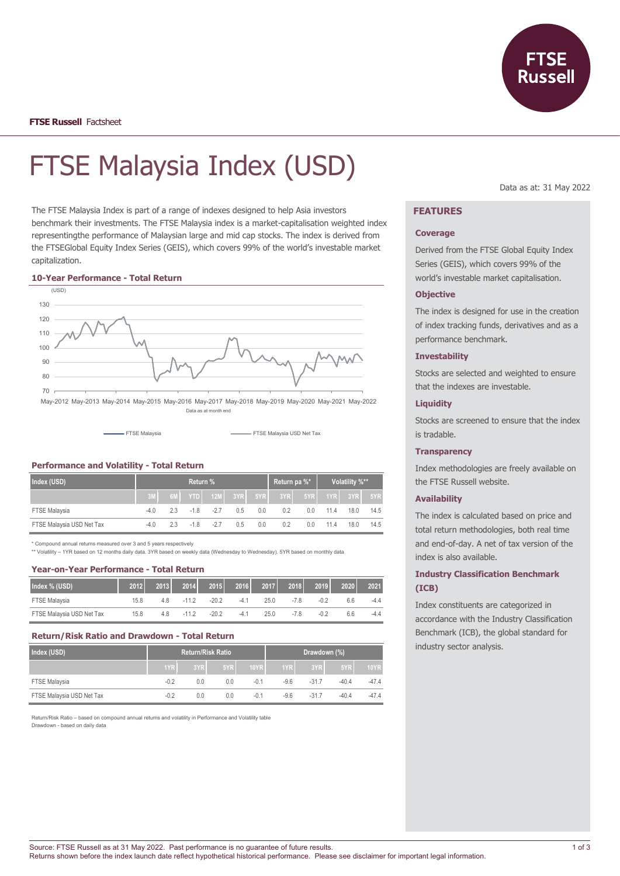

# FTSE Malaysia Index (USD)

The FTSE Malaysia Index is part of a range of indexes designed to help Asia investors benchmark their investments. The FTSE Malaysia index is a market-capitalisation weighted index representingthe performance of Malaysian large and mid cap stocks. The index is derived from the FTSEGlobal Equity Index Series (GEIS), which covers 99% of the world's investable market capitalization.

#### **10-Year Performance - Total Return**



**Performance and Volatility - Total Return**

| Index (USD)               | Return % |     |  |              |     | Return pa %* |                                            | Volatility %** |      |      |      |
|---------------------------|----------|-----|--|--------------|-----|--------------|--------------------------------------------|----------------|------|------|------|
|                           |          |     |  |              |     |              | 6M YTD 12M 3YR 5YR 3YR 5YR 5YR 1YR 3YR 5YR |                |      |      |      |
| <b>FTSE Malaysia</b>      | $-4.0$   | 2.3 |  | $-1.8 - 2.7$ | 0.5 | 0.0          | 0.2                                        | 0.0            | 11.4 | 18.0 | 14.5 |
| FTSE Malaysia USD Net Tax | -4.0     | 2.3 |  | $-1.8 - 2.7$ | 0.5 | 0.0          | 0.2                                        | 0.0            | 11.4 | 18.0 | 14.5 |

FTSE Malaysia FTSE Malaysia USD Net Tax

\* Compound annual returns measured over 3 and 5 years respectively

\*\* Volatility – 1YR based on 12 months daily data. 3YR based on weekly data (Wednesday to Wednesday). 5YR based on monthly data

## **Year-on-Year Performance - Total Return**

| Index % (USD)             | 2012 | 2013 | 2014    | 2015    | 2016   | 2017 | 2018 | 2019   | 2020 | 2021   |
|---------------------------|------|------|---------|---------|--------|------|------|--------|------|--------|
| <b>FTSE Malaysia</b>      | 15.8 | 4.8  | $-112$  | $-20.2$ | $-4.1$ | 25.0 | -78  | $-0.2$ | 6.6  | -4.4   |
| FTSE Malaysia USD Net Tax | 15.8 | 4.8  | $-11.2$ | $-20.2$ | $-4.1$ | 25.0 | -7.8 | $-0.2$ | 6.6  | $-4.4$ |

#### **Return/Risk Ratio and Drawdown - Total Return**

| Index (USD)               | <b>Return/Risk Ratio</b> |     |     |             | Drawdown (%) |         |         |             |
|---------------------------|--------------------------|-----|-----|-------------|--------------|---------|---------|-------------|
|                           | 1YR                      | 3YR | 5YR | <b>10YR</b> | 1YRI         | 3YR     | 5YR     | <b>10YR</b> |
| <b>FTSE Malaysia</b>      | $-0.2$                   | 0.0 | 0.0 | $-0.1$      | $-9.6$       | $-31.7$ | $-40.4$ | $-47.4$     |
| FTSE Malaysia USD Net Tax | $-0.2$                   | 0.0 | 0.0 | $-0.1$      | $-9.6$       | $-31.7$ | $-404$  | $-47.4$     |

Return/Risk Ratio – based on compound annual returns and volatility in Performance and Volatility table Drawdown - based on daily data

Data as at: 31 May 2022

# **FEATURES**

#### **Coverage**

Derived from the FTSE Global Equity Index Series (GEIS), which covers 99% of the world's investable market capitalisation.

#### **Objective**

The index is designed for use in the creation of index tracking funds, derivatives and as a performance benchmark.

#### **Investability**

Stocks are selected and weighted to ensure that the indexes are investable.

# **Liquidity**

Stocks are screened to ensure that the index is tradable.

#### **Transparency**

Index methodologies are freely available on the FTSE Russell website.

#### **Availability**

The index is calculated based on price and total return methodologies, both real time and end-of-day. A net of tax version of the index is also available.

# **Industry Classification Benchmark (ICB)**

Index constituents are categorized in accordance with the Industry Classification Benchmark (ICB), the global standard for industry sector analysis.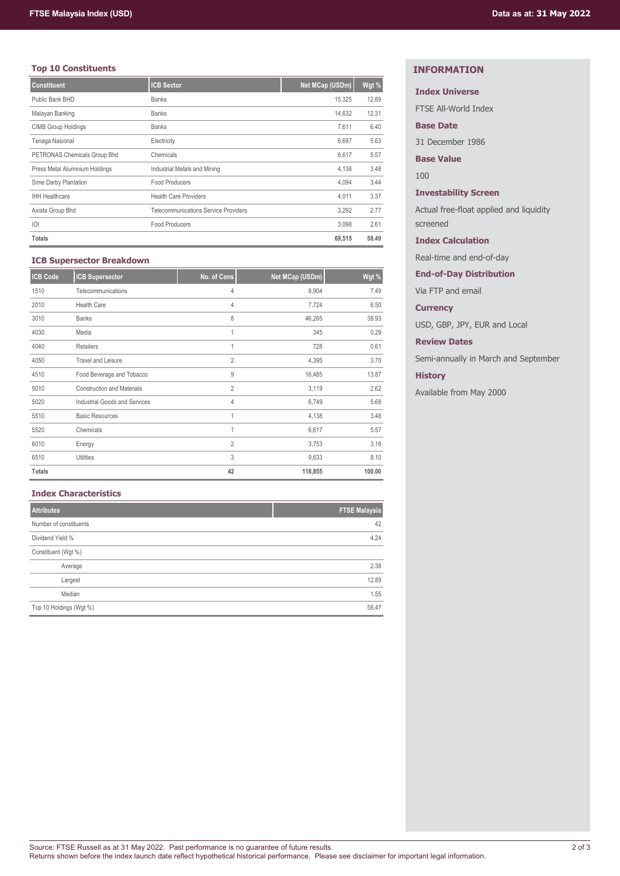# **Top 10 Constituents**

| <b>Constituent</b>             | <b>ICB Sector</b>                           | Net MCap (USDm) | Wgt % |
|--------------------------------|---------------------------------------------|-----------------|-------|
| Public Bank BHD                | <b>Banks</b>                                | 15,325          | 12.89 |
| Malayan Banking                | <b>Banks</b>                                | 14,632          | 12.31 |
| <b>CIMB Group Holdings</b>     | <b>Banks</b>                                | 7,611           | 6.40  |
| Tenaga Nasional                | Electricity                                 | 6,697           | 5.63  |
| PETRONAS Chemicals Group Bhd   | Chemicals                                   | 6.617           | 5.57  |
| Press Metal Aluminium Holdings | Industrial Metals and Mining                | 4,138           | 3.48  |
| Sime Darby Plantation          | <b>Food Producers</b>                       | 4.094           | 3.44  |
| <b>IHH Healthcare</b>          | <b>Health Care Providers</b>                | 4.011           | 3.37  |
| Axiata Group Bhd               | <b>Telecommunications Service Providers</b> | 3.292           | 2.77  |
| O                              | Food Producers                              | 3,098           | 2.61  |
| <b>Totals</b>                  |                                             | 69,515          | 58.49 |

## **ICB Supersector Breakdown**

| <b>ICB Code</b> | <b>ICB</b> Supersector            | No. of Cons    | Net MCap (USDm) | Wgt %  |
|-----------------|-----------------------------------|----------------|-----------------|--------|
| 1510            | Telecommunications                | 4              | 8,904           | 7.49   |
| 2010            | <b>Health Care</b>                | 4              | 7,724           | 6.50   |
| 3010            | <b>Banks</b>                      | 8              | 46,265          | 38.93  |
| 4030            | Media                             | 1              | 345             | 0.29   |
| 4040            | <b>Retailers</b>                  |                | 728             | 0.61   |
| 4050            | <b>Travel and Leisure</b>         | $\overline{2}$ | 4,395           | 3.70   |
| 4510            | Food Beverage and Tobacco         | 9              | 16,485          | 13.87  |
| 5010            | <b>Construction and Materials</b> | $\overline{2}$ | 3,119           | 2.62   |
| 5020            | Industrial Goods and Services     | 4              | 6,749           | 5.68   |
| 5510            | <b>Basic Resources</b>            | 1              | 4,138           | 3.48   |
| 5520            | Chemicals                         | 1              | 6,617           | 5.57   |
| 6010            | Energy                            | $\overline{2}$ | 3,753           | 3.16   |
| 6510            | Utilities                         | 3              | 9,633           | 8.10   |
| <b>Totals</b>   |                                   | 42             | 118,855         | 100.00 |

## **Index Characteristics**

| <b>FTSE Malaysia</b> |
|----------------------|
| 42                   |
| 4.24                 |
|                      |
| 2.38                 |
| 12.89                |
| 1.55                 |
| 58.47                |
|                      |

# **INFORMATION**

# **Index Universe**

FTSE All-World Index

### **Base Date**

31 December 1986

## **Base Value**

100

## **Investability Screen**

Actual free-float applied and liquidity screened

## **Index Calculation**

Real-time and end-of-day

## **End-of-Day Distribution**

Via FTP and email

#### **Currency**

USD, GBP, JPY, EUR and Local

# **Review Dates**

Semi-annually in March and September

# **History**

Available from May 2000